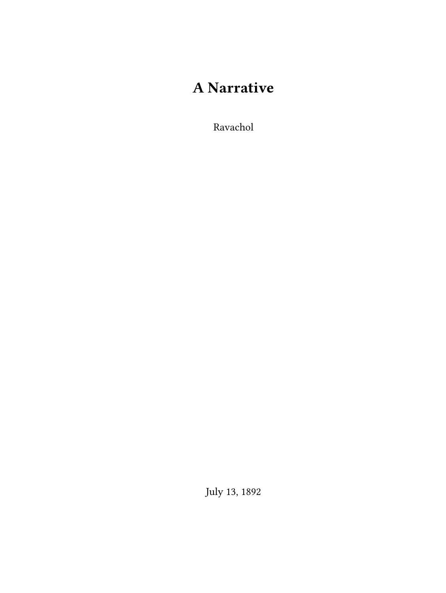## **A Narrative**

Ravachol

July 13, 1892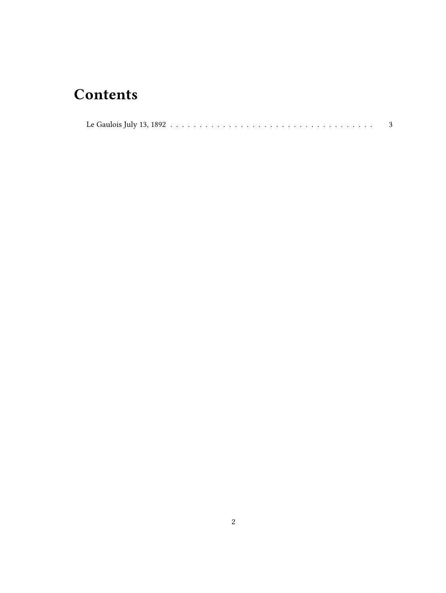## **Contents**

|--|--|--|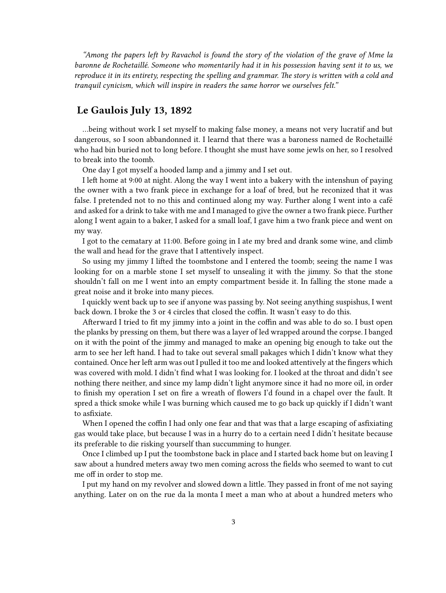*"Among the papers left by Ravachol is found the story of the violation of the grave of Mme la baronne de Rochetaillé. Someone who momentarily had it in his possession having sent it to us, we reproduce it in its entirety, respecting the spelling and grammar. The story is written with a cold and tranquil cynicism, which will inspire in readers the same horror we ourselves felt."*

## <span id="page-2-0"></span>**Le Gaulois July 13, 1892**

…being without work I set myself to making false money, a means not very lucratif and but dangerous, so I soon abbandonned it. I learnd that there was a baroness named de Rochetaillé who had bin buried not to long before. I thought she must have some jewls on her, so I resolved to break into the toomb.

One day I got myself a hooded lamp and a jimmy and I set out.

I left home at 9:00 at night. Along the way I went into a bakery with the intenshun of paying the owner with a two frank piece in exchange for a loaf of bred, but he reconized that it was false. I pretended not to no this and continued along my way. Further along I went into a café and asked for a drink to take with me and I managed to give the owner a two frank piece. Further along I went again to a baker, I asked for a small loaf, I gave him a two frank piece and went on my way.

I got to the cematary at 11:00. Before going in I ate my bred and drank some wine, and climb the wall and head for the grave that I attentively inspect.

So using my jimmy I lifted the toombstone and I entered the toomb; seeing the name I was looking for on a marble stone I set myself to unsealing it with the jimmy. So that the stone shouldn't fall on me I went into an empty compartment beside it. In falling the stone made a great noise and it broke into many pieces.

I quickly went back up to see if anyone was passing by. Not seeing anything suspishus, I went back down. I broke the 3 or 4 circles that closed the coffin. It wasn't easy to do this.

Afterward I tried to fit my jimmy into a joint in the coffin and was able to do so. I bust open the planks by pressing on them, but there was a layer of led wrapped around the corpse. I banged on it with the point of the jimmy and managed to make an opening big enough to take out the arm to see her left hand. I had to take out several small pakages which I didn't know what they contained. Once her left arm was out I pulled it too me and looked attentively at the fingers which was covered with mold. I didn't find what I was looking for. I looked at the throat and didn't see nothing there neither, and since my lamp didn't light anymore since it had no more oil, in order to finish my operation I set on fire a wreath of flowers I'd found in a chapel over the fault. It spred a thick smoke while I was burning which caused me to go back up quickly if I didn't want to asfixiate.

When I opened the coffin I had only one fear and that was that a large escaping of asfixiating gas would take place, but because I was in a hurry do to a certain need I didn't hesitate because its preferable to die risking yourself than succumming to hunger.

Once I climbed up I put the toombstone back in place and I started back home but on leaving I saw about a hundred meters away two men coming across the fields who seemed to want to cut me off in order to stop me.

I put my hand on my revolver and slowed down a little. They passed in front of me not saying anything. Later on on the rue da la monta I meet a man who at about a hundred meters who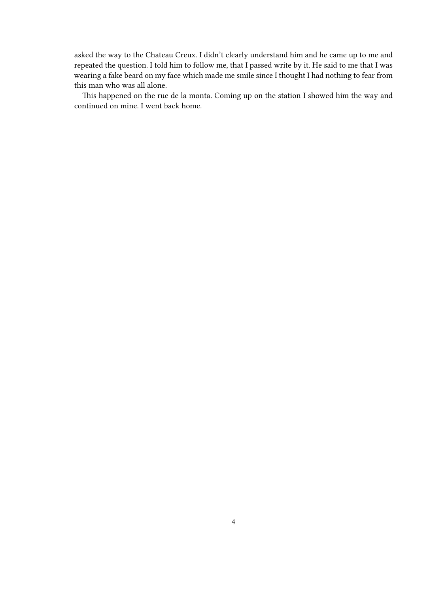asked the way to the Chateau Creux. I didn't clearly understand him and he came up to me and repeated the question. I told him to follow me, that I passed write by it. He said to me that I was wearing a fake beard on my face which made me smile since I thought I had nothing to fear from this man who was all alone.

This happened on the rue de la monta. Coming up on the station I showed him the way and continued on mine. I went back home.